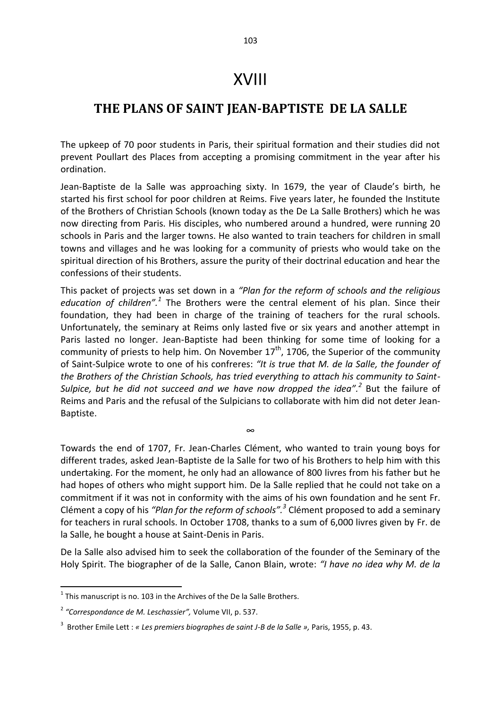## XVIII

## **THE PLANS OF SAINT JEAN-BAPTISTE DE LA SALLE**

The upkeep of 70 poor students in Paris, their spiritual formation and their studies did not prevent Poullart des Places from accepting a promising commitment in the year after his ordination.

Jean-Baptiste de la Salle was approaching sixty. In 1679, the year of Claude's birth, he started his first school for poor children at Reims. Five years later, he founded the Institute of the Brothers of Christian Schools (known today as the De La Salle Brothers) which he was now directing from Paris. His disciples, who numbered around a hundred, were running 20 schools in Paris and the larger towns. He also wanted to train teachers for children in small towns and villages and he was looking for a community of priests who would take on the spiritual direction of his Brothers, assure the purity of their doctrinal education and hear the confessions of their students.

This packet of projects was set down in a *"Plan for the reform of schools and the religious*  education of children".<sup>1</sup> The Brothers were the central element of his plan. Since their foundation, they had been in charge of the training of teachers for the rural schools. Unfortunately, the seminary at Reims only lasted five or six years and another attempt in Paris lasted no longer. Jean-Baptiste had been thinking for some time of looking for a community of priests to help him. On November  $17<sup>th</sup>$ , 1706, the Superior of the community of Saint-Sulpice wrote to one of his confreres: *"It is true that M. de la Salle, the founder of the Brothers of the Christian Schools, has tried everything to attach his community to Saint-*Sulpice, but he did not succeed and we have now dropped the idea".<sup>2</sup> But the failure of Reims and Paris and the refusal of the Sulpicians to collaborate with him did not deter Jean-Baptiste.

Towards the end of 1707, Fr. Jean-Charles Clément, who wanted to train young boys for different trades, asked Jean-Baptiste de la Salle for two of his Brothers to help him with this undertaking. For the moment, he only had an allowance of 800 livres from his father but he had hopes of others who might support him. De la Salle replied that he could not take on a commitment if it was not in conformity with the aims of his own foundation and he sent Fr. Clément a copy of his "Plan for the reform of schools".<sup>3</sup> Clément proposed to add a seminary for teachers in rural schools. In October 1708, thanks to a sum of 6,000 livres given by Fr. de la Salle, he bought a house at Saint-Denis in Paris.

∞

De la Salle also advised him to seek the collaboration of the founder of the Seminary of the Holy Spirit. The biographer of de la Salle, Canon Blain, wrote: *"I have no idea why M. de la* 

**.** 

 $<sup>1</sup>$  This manuscript is no. 103 in the Archives of the De la Salle Brothers.</sup>

<sup>2</sup> *"Correspondance de M. Leschassier",* Volume VII, p. 537.

<sup>3</sup> Brother Emile Lett : *« Les premiers biographes de saint J-B de la Salle »,* Paris, 1955, p. 43.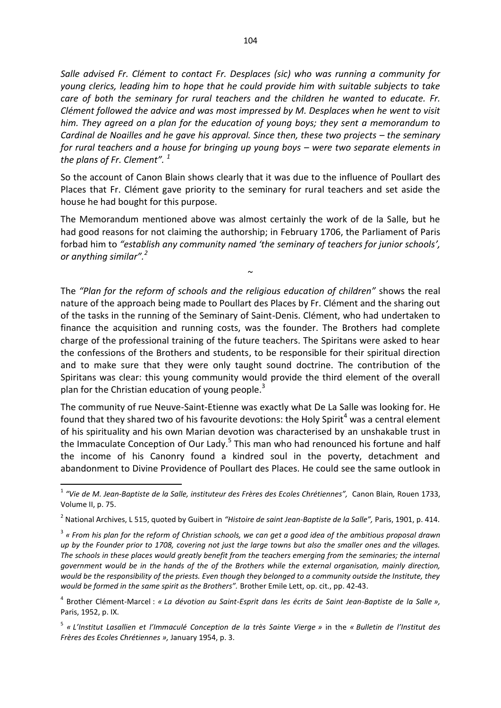*Salle advised Fr. Clément to contact Fr. Desplaces (sic) who was running a community for young clerics, leading him to hope that he could provide him with suitable subjects to take care of both the seminary for rural teachers and the children he wanted to educate. Fr. Clément followed the advice and was most impressed by M. Desplaces when he went to visit him. They agreed on a plan for the education of young boys; they sent a memorandum to Cardinal de Noailles and he gave his approval. Since then, these two projects – the seminary for rural teachers and a house for bringing up young boys – were two separate elements in the plans of Fr. Clement". <sup>1</sup>* 

So the account of Canon Blain shows clearly that it was due to the influence of Poullart des Places that Fr. Clément gave priority to the seminary for rural teachers and set aside the house he had bought for this purpose.

The Memorandum mentioned above was almost certainly the work of de la Salle, but he had good reasons for not claiming the authorship; in February 1706, the Parliament of Paris forbad him to *"establish any community named 'the seminary of teachers for junior schools', or anything similar".<sup>2</sup>* 

 $\sim$ 

The *"Plan for the reform of schools and the religious education of children"* shows the real nature of the approach being made to Poullart des Places by Fr. Clément and the sharing out of the tasks in the running of the Seminary of Saint-Denis. Clément, who had undertaken to finance the acquisition and running costs, was the founder. The Brothers had complete charge of the professional training of the future teachers. The Spiritans were asked to hear the confessions of the Brothers and students, to be responsible for their spiritual direction and to make sure that they were only taught sound doctrine. The contribution of the Spiritans was clear: this young community would provide the third element of the overall plan for the Christian education of young people.<sup>3</sup>

The community of rue Neuve-Saint-Etienne was exactly what De La Salle was looking for. He found that they shared two of his favourite devotions: the Holy Spirit<sup>4</sup> was a central element of his spirituality and his own Marian devotion was characterised by an unshakable trust in the Immaculate Conception of Our Lady.<sup>5</sup> This man who had renounced his fortune and half the income of his Canonry found a kindred soul in the poverty, detachment and abandonment to Divine Providence of Poullart des Places. He could see the same outlook in

1

<sup>1</sup> *"Vie de M. Jean-Baptiste de la Salle, instituteur des Frères des Ecoles Chrétiennes",* Canon Blain*,* Rouen 1733, Volume II, p. 75.

<sup>2</sup> National Archives, L 515, quoted by Guibert in *"Histoire de saint Jean-Baptiste de la Salle",* Paris, 1901, p. 414.

<sup>3</sup> *« From his plan for the reform of Christian schools, we can get a good idea of the ambitious proposal drawn up by the Founder prior to 1708, covering not just the large towns but also the smaller ones and the villages. The schools in these places would greatly benefit from the teachers emerging from the seminaries; the internal government would be in the hands of the of the Brothers while the external organisation, mainly direction, would be the responsibility of the priests. Even though they belonged to a community outside the Institute, they would be formed in the same spirit as the Brothers".* Brother Emile Lett, op. cit., pp. 42-43.

<sup>4</sup> Brother Clément-Marcel : *« La dévotion au Saint-Esprit dans les écrits de Saint Jean-Baptiste de la Salle »,*  Paris, 1952, p. IX.

<sup>5</sup> *« L'Institut Lasallien et l'Immaculé Conception de la très Sainte Vierge »* in the *« Bulletin de l'Institut des Frères des Ecoles Chrétiennes »,* January 1954, p. 3.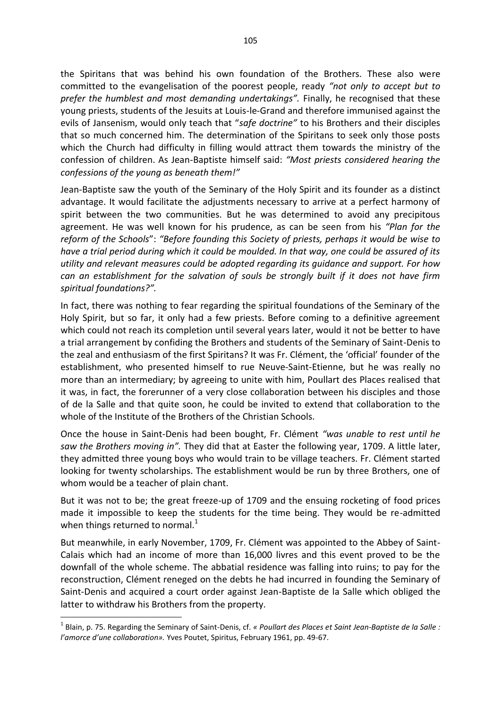the Spiritans that was behind his own foundation of the Brothers. These also were committed to the evangelisation of the poorest people, ready *"not only to accept but to prefer the humblest and most demanding undertakings".* Finally, he recognised that these young priests, students of the Jesuits at Louis-le-Grand and therefore immunised against the evils of Jansenism, would only teach that "*safe doctrine"* to his Brothers and their disciples that so much concerned him. The determination of the Spiritans to seek only those posts which the Church had difficulty in filling would attract them towards the ministry of the confession of children. As Jean-Baptiste himself said: *"Most priests considered hearing the confessions of the young as beneath them!"* 

Jean-Baptiste saw the youth of the Seminary of the Holy Spirit and its founder as a distinct advantage. It would facilitate the adjustments necessary to arrive at a perfect harmony of spirit between the two communities. But he was determined to avoid any precipitous agreement. He was well known for his prudence, as can be seen from his *"Plan for the reform of the Schools*": *"Before founding this Society of priests, perhaps it would be wise to have a trial period during which it could be moulded. In that way, one could be assured of its utility and relevant measures could be adopted regarding its guidance and support. For how can an establishment for the salvation of souls be strongly built if it does not have firm spiritual foundations?".*

In fact, there was nothing to fear regarding the spiritual foundations of the Seminary of the Holy Spirit, but so far, it only had a few priests. Before coming to a definitive agreement which could not reach its completion until several years later, would it not be better to have a trial arrangement by confiding the Brothers and students of the Seminary of Saint-Denis to the zeal and enthusiasm of the first Spiritans? It was Fr. Clément, the 'official' founder of the establishment, who presented himself to rue Neuve-Saint-Etienne, but he was really no more than an intermediary; by agreeing to unite with him, Poullart des Places realised that it was, in fact, the forerunner of a very close collaboration between his disciples and those of de la Salle and that quite soon, he could be invited to extend that collaboration to the whole of the Institute of the Brothers of the Christian Schools.

Once the house in Saint-Denis had been bought, Fr. Clément *"was unable to rest until he saw the Brothers moving in".* They did that at Easter the following year, 1709. A little later, they admitted three young boys who would train to be village teachers. Fr. Clément started looking for twenty scholarships. The establishment would be run by three Brothers, one of whom would be a teacher of plain chant.

But it was not to be; the great freeze-up of 1709 and the ensuing rocketing of food prices made it impossible to keep the students for the time being. They would be re-admitted when things returned to normal.<sup>1</sup>

But meanwhile, in early November, 1709, Fr. Clément was appointed to the Abbey of Saint-Calais which had an income of more than 16,000 livres and this event proved to be the downfall of the whole scheme. The abbatial residence was falling into ruins; to pay for the reconstruction, Clément reneged on the debts he had incurred in founding the Seminary of Saint-Denis and acquired a court order against Jean-Baptiste de la Salle which obliged the latter to withdraw his Brothers from the property.

**.** 

<sup>1</sup> Blain, p. 75. Regarding the Seminary of Saint-Denis, cf. *« Poullart des Places et Saint Jean-Baptiste de la Salle : l'amorce d'une collaboration».* Yves Poutet, Spiritus, February 1961, pp. 49-67.